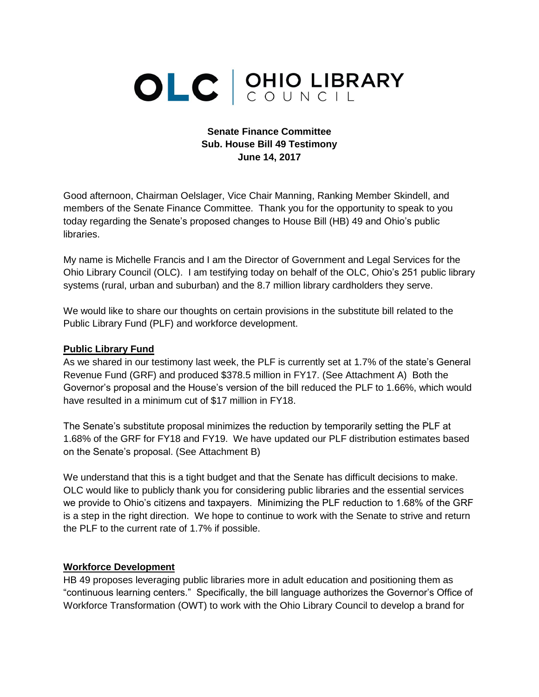# OLC CUNCIL

#### **Senate Finance Committee Sub. House Bill 49 Testimony June 14, 2017**

Good afternoon, Chairman Oelslager, Vice Chair Manning, Ranking Member Skindell, and members of the Senate Finance Committee. Thank you for the opportunity to speak to you today regarding the Senate's proposed changes to House Bill (HB) 49 and Ohio's public libraries.

My name is Michelle Francis and I am the Director of Government and Legal Services for the Ohio Library Council (OLC). I am testifying today on behalf of the OLC, Ohio's 251 public library systems (rural, urban and suburban) and the 8.7 million library cardholders they serve.

We would like to share our thoughts on certain provisions in the substitute bill related to the Public Library Fund (PLF) and workforce development.

#### **Public Library Fund**

As we shared in our testimony last week, the PLF is currently set at 1.7% of the state's General Revenue Fund (GRF) and produced \$378.5 million in FY17. (See Attachment A) Both the Governor's proposal and the House's version of the bill reduced the PLF to 1.66%, which would have resulted in a minimum cut of \$17 million in FY18.

The Senate's substitute proposal minimizes the reduction by temporarily setting the PLF at 1.68% of the GRF for FY18 and FY19. We have updated our PLF distribution estimates based on the Senate's proposal. (See Attachment B)

We understand that this is a tight budget and that the Senate has difficult decisions to make. OLC would like to publicly thank you for considering public libraries and the essential services we provide to Ohio's citizens and taxpayers. Minimizing the PLF reduction to 1.68% of the GRF is a step in the right direction. We hope to continue to work with the Senate to strive and return the PLF to the current rate of 1.7% if possible.

#### **Workforce Development**

HB 49 proposes leveraging public libraries more in adult education and positioning them as "continuous learning centers." Specifically, the bill language authorizes the Governor's Office of Workforce Transformation (OWT) to work with the Ohio Library Council to develop a brand for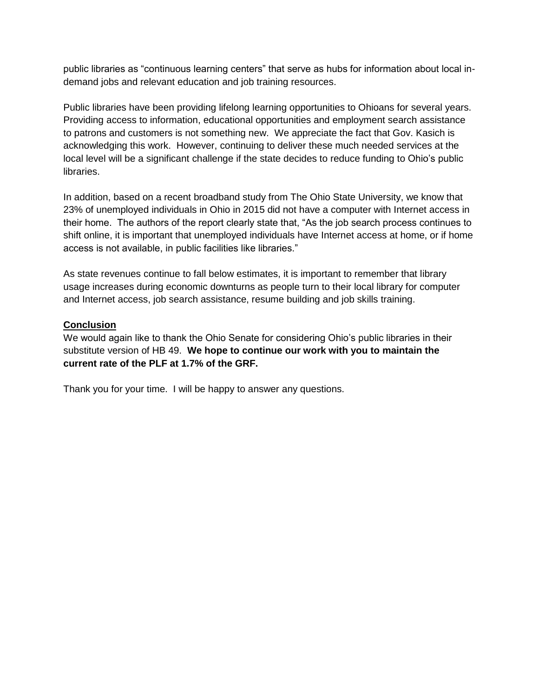public libraries as "continuous learning centers" that serve as hubs for information about local indemand jobs and relevant education and job training resources.

Public libraries have been providing lifelong learning opportunities to Ohioans for several years. Providing access to information, educational opportunities and employment search assistance to patrons and customers is not something new. We appreciate the fact that Gov. Kasich is acknowledging this work. However, continuing to deliver these much needed services at the local level will be a significant challenge if the state decides to reduce funding to Ohio's public libraries.

In addition, based on a recent broadband study from The Ohio State University, we know that 23% of unemployed individuals in Ohio in 2015 did not have a computer with Internet access in their home. The authors of the report clearly state that, "As the job search process continues to shift online, it is important that unemployed individuals have Internet access at home, or if home access is not available, in public facilities like libraries."

As state revenues continue to fall below estimates, it is important to remember that library usage increases during economic downturns as people turn to their local library for computer and Internet access, job search assistance, resume building and job skills training.

#### **Conclusion**

We would again like to thank the Ohio Senate for considering Ohio's public libraries in their substitute version of HB 49. **We hope to continue our work with you to maintain the current rate of the PLF at 1.7% of the GRF.**

Thank you for your time. I will be happy to answer any questions.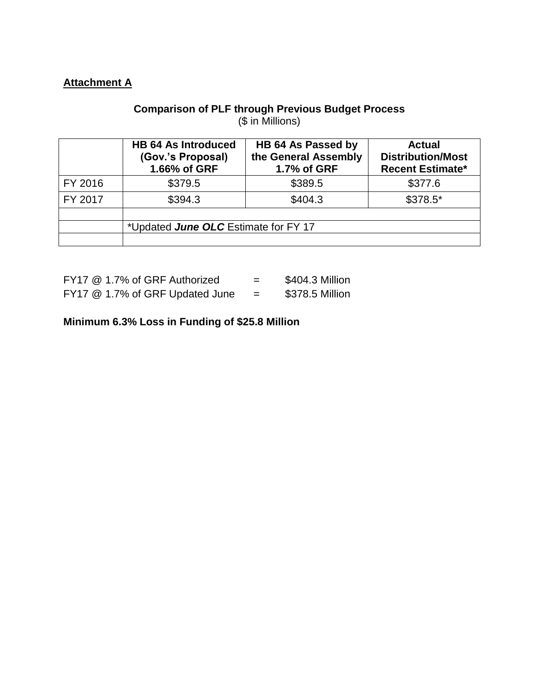# **Attachment A**

## **Comparison of PLF through Previous Budget Process** (\$ in Millions)

|         | <b>HB 64 As Introduced</b><br>(Gov.'s Proposal)<br>1.66% of GRF | HB 64 As Passed by<br>the General Assembly<br>1.7% of GRF | <b>Actual</b><br><b>Distribution/Most</b><br><b>Recent Estimate*</b> |
|---------|-----------------------------------------------------------------|-----------------------------------------------------------|----------------------------------------------------------------------|
| FY 2016 | \$379.5                                                         | \$389.5                                                   | \$377.6                                                              |
| FY 2017 | \$394.3                                                         | \$404.3                                                   | $$378.5*$                                                            |
|         |                                                                 |                                                           |                                                                      |
|         | *Updated June OLC Estimate for FY 17                            |                                                           |                                                                      |
|         |                                                                 |                                                           |                                                                      |

| FY17 @ 1.7% of GRF Authorized   | - | \$404.3 Million |
|---------------------------------|---|-----------------|
| FY17 @ 1.7% of GRF Updated June |   | \$378.5 Million |

**Minimum 6.3% Loss in Funding of \$25.8 Million**